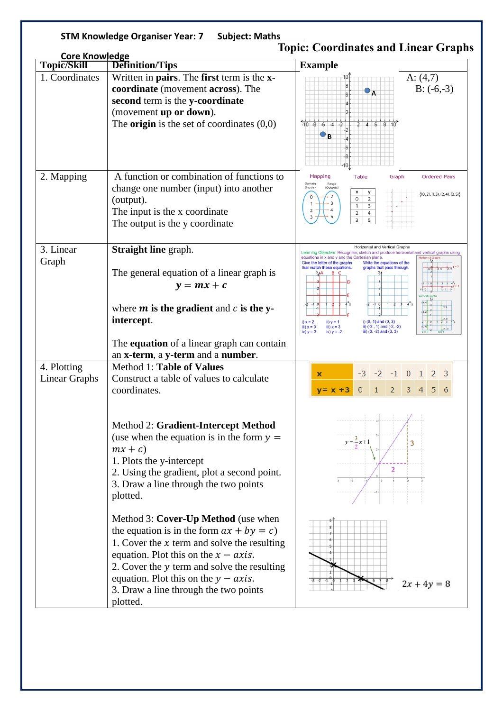| <b>STM Knowledge Organiser Year: 7 Subject: Maths</b> |                                                                                                                                                                                                                                                                                                                               |                                                                                                                                                                                                                                                                                                                                                                                                                                                                                                                                                 |
|-------------------------------------------------------|-------------------------------------------------------------------------------------------------------------------------------------------------------------------------------------------------------------------------------------------------------------------------------------------------------------------------------|-------------------------------------------------------------------------------------------------------------------------------------------------------------------------------------------------------------------------------------------------------------------------------------------------------------------------------------------------------------------------------------------------------------------------------------------------------------------------------------------------------------------------------------------------|
| <b>Core Knowledge</b><br>Topic/Skill                  | <b>Definition/Tips</b>                                                                                                                                                                                                                                                                                                        | <b>Topic: Coordinates and Linear Graphs</b><br><b>Example</b>                                                                                                                                                                                                                                                                                                                                                                                                                                                                                   |
| 1. Coordinates                                        | Written in pairs. The first term is the x-<br>coordinate (movement across). The<br>second term is the y-coordinate<br>(movement up or down).<br>The <b>origin</b> is the set of coordinates $(0,0)$                                                                                                                           | A: $(4,7)$<br>10<br>$B: (-6,-3)$<br>$\bullet$ <sub>A</sub><br>$-10 - 8 - 6 - 4 - 2$<br>$2 \mid 4 \mid 6 \mid 8 \mid 10$<br>$\bullet$ B<br>40.                                                                                                                                                                                                                                                                                                                                                                                                   |
| 2. Mapping                                            | A function or combination of functions to<br>change one number (input) into another<br>(output).<br>The input is the x coordinate<br>The output is the y coordinate                                                                                                                                                           | Mapping<br><b>Table</b><br><b>Ordered Pairs</b><br>Graph<br>Domain<br>Range<br>(Inputs)<br>(Outputs)<br>x<br>у<br>$\{(0, 2), (1, 3), (2, 4), (3, 5)\}\$<br>$\circ$<br>$\overline{2}$<br>3<br>$\mathbf{1}$<br>$\overline{4}$<br>2<br>3<br>5                                                                                                                                                                                                                                                                                                      |
| 3. Linear<br>Graph                                    | <b>Straight line graph.</b><br>The general equation of a linear graph is<br>$y = mx + c$<br>where $m$ is the gradient and $c$ is the y-<br>intercept.                                                                                                                                                                         | <b>Horizontal and Vertical Graphs</b><br>Learning Objective: Recognise, sketch and produce horizontal and vertical graphs using<br>equations in x and y and the Cartesian plane.<br><b>Horizontal Graphs</b><br>Give the letter of the graphs<br>Write the equations of the<br>that match these equations.<br>graphs that pass through.<br>$(2 - 1)$ $(4 - 1)$<br>i) $x = 2$<br>$i)$ (0,-1) and (0, 3)<br>ii) $y = 1$<br>ii) (-2, 1) and (-2, -2)<br>iii) $x = 3$<br>iii) $x = 0$<br>iv) $y = 3$<br>iii) $(3, -2)$ and $(3, 3)$<br>iv) $y = -2$ |
|                                                       | The <b>equation</b> of a linear graph can contain<br>an x-term, a y-term and a number.                                                                                                                                                                                                                                        |                                                                                                                                                                                                                                                                                                                                                                                                                                                                                                                                                 |
| 4. Plotting<br>Linear Graphs                          | Method 1: Table of Values<br>Construct a table of values to calculate<br>coordinates.                                                                                                                                                                                                                                         | $-3$ $-2$ $-1$ 0 1 2 3<br>$\overline{\mathbf{x}}$<br>2<br>3<br>5<br>$v = x + 3$                                                                                                                                                                                                                                                                                                                                                                                                                                                                 |
|                                                       | Method 2: Gradient-Intercept Method<br>(use when the equation is in the form $y =$<br>$mx + c$<br>1. Plots the y-intercept<br>2. Using the gradient, plot a second point.<br>3. Draw a line through the two points<br>plotted.                                                                                                | $y = \frac{3}{5}x + 1$<br>3<br>$\overline{2}$                                                                                                                                                                                                                                                                                                                                                                                                                                                                                                   |
|                                                       | Method 3: Cover-Up Method (use when<br>the equation is in the form $ax + by = c$ )<br>1. Cover the $x$ term and solve the resulting<br>equation. Plot this on the $x - axis$ .<br>2. Cover the y term and solve the resulting<br>equation. Plot this on the $y - axis$ .<br>3. Draw a line through the two points<br>plotted. | $2x + 4y = 8$                                                                                                                                                                                                                                                                                                                                                                                                                                                                                                                                   |